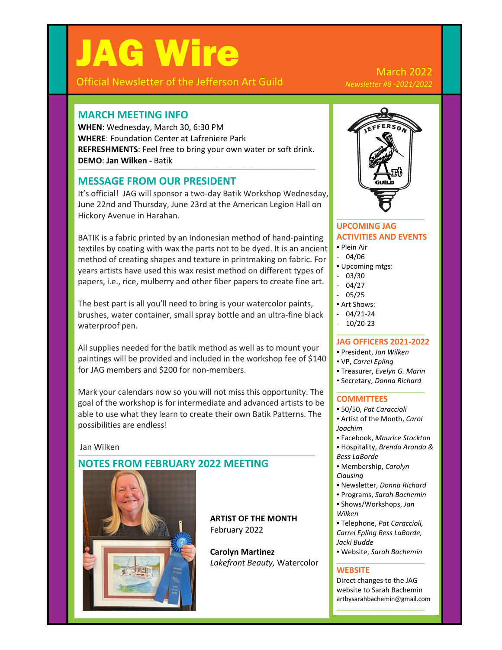# JAG Wire

Official Newsletter of the Jefferson Art Guild

### March 2022 *Newsletter #8 -2021/2022*

# **MARCH MEETING INFO**

**WHEN**: Wednesday, March 30, 6:30 PM **WHERE**: Foundation Center at Lafreniere Park **REFRESHMENTS**: Feel free to bring your own water or soft drink. **DEMO**: **Jan Wilken -** Batik

**\_\_\_\_\_\_\_\_\_\_\_\_\_\_\_\_\_\_\_\_\_\_\_\_\_\_\_\_\_\_\_\_\_\_\_\_\_\_\_\_\_\_\_\_\_\_\_\_\_\_\_\_\_\_\_\_\_\_\_\_\_\_\_\_\_\_\_\_\_\_\_\_\_\_\_\_\_\_\_\_\_\_\_\_\_\_\_\_\_\_\_\_\_\_\_\_\_\_\_\_\_\_**

# **MESSAGE FROM OUR PRESIDENT**

It's official! JAG will sponsor a two-day Batik Workshop Wednesday, June 22nd and Thursday, June 23rd at the American Legion Hall on Hickory Avenue in Harahan.

BATIK is a fabric printed by an Indonesian method of hand-painting textiles by coating with wax the parts not to be dyed. It is an ancient method of creating shapes and texture in printmaking on fabric. For years artists have used this wax resist method on different types of papers, i.e., rice, mulberry and other fiber papers to create fine art.

The best part is all you'll need to bring is your watercolor paints, brushes, water container, small spray bottle and an ultra-fine black waterproof pen.

All supplies needed for the batik method as well as to mount your paintings will be provided and included in the workshop fee of \$140 for JAG members and \$200 for non-members.

Mark your calendars now so you will not miss this opportunity. The goal of the workshop is for intermediate and advanced artists to be able to use what they learn to create their own Batik Patterns. The possibilities are endless!

**\_\_\_\_\_\_\_\_\_\_\_\_\_\_\_\_\_\_\_\_\_\_\_\_\_\_\_\_\_\_\_\_\_\_\_\_\_\_\_\_\_\_\_\_\_\_\_\_\_\_\_\_\_\_\_\_\_\_\_\_\_\_\_\_\_\_\_\_\_\_\_\_\_\_\_\_\_\_\_\_\_\_\_\_\_\_\_\_\_\_\_\_\_\_\_\_\_\_\_\_\_\_**

Jan Wilken

# **NOTES FROM FEBRUARY 2022 MEETING**



**ARTIST OF THE MONTH** February 2022

**Carolyn Martinez** *Lakefront Beauty,* Watercolor



### **UPCOMING JAG ACTIVITIES AND EVENTS**

- Plein Air
- 04/06
- Upcoming mtgs:
- 03/30
- 04/27
- 05/25
- Art Shows:
- 04/21-24
- 10/20-23 **\_\_\_\_\_\_\_\_\_\_\_\_\_\_\_\_\_\_\_\_\_\_\_\_\_\_\_**

#### **JAG OFFICERS 2021-2022**

- President, *Jan Wilken*
- VP, *Carrel Epling*
- Treasurer, *Evelyn G. Marin*
- Secretary, *Donna Richard* **\_\_\_\_\_\_\_\_\_\_\_\_\_\_\_\_\_\_\_\_\_\_\_\_\_\_\_**

#### **COMMITTEES**

- 50/50, *Pat Caraccioli*
- Artist of the Month, *Carol Joachim*
- Facebook, *Maurice Stockton*
- Hospitality, *Brenda Aranda & Bess LaBorde*
- Membership, *Carolyn Clausing*
- Newsletter, *Donna Richard*
- Programs, *Sarah Bachemin*
- Shows/Workshops, *Jan Wilken*
- Telephone, *Pat Caraccioli, Carrel Epling Bess LaBorde, Jacki Budde*
- Website, *Sarah Bachemin*

#### **\_\_\_\_\_\_\_\_\_\_\_\_\_\_\_\_\_\_\_\_\_\_\_\_\_\_\_ WEBSITE**

Direct changes to the JAG website to Sarah Bachemin artbysarahbachemin@gmail.com

**\_\_\_\_\_\_\_\_\_\_\_\_\_\_\_\_\_\_\_\_\_\_\_\_\_\_\_**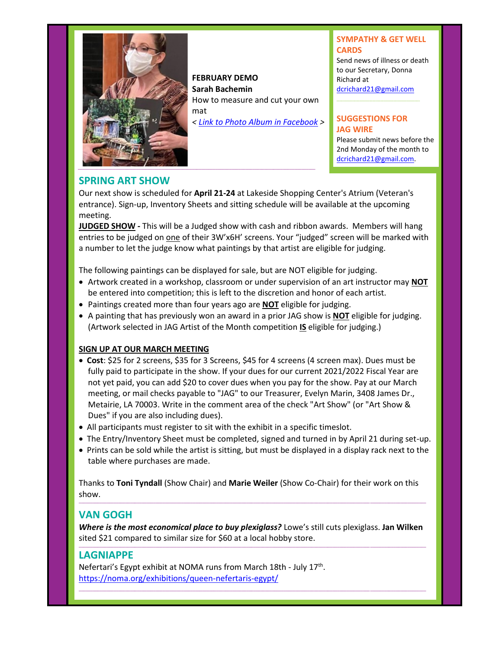

**FEBRUARY DEMO Sarah Bachemin**  How to measure and cut your own mat *< [Link to Photo Album in Facebook](https://www.facebook.com/media/set/?vanity=JeffersonArtGuild&set=a.4768428903266572) >*

#### **SYMPATHY & GET WELL CARDS**

Send news of illness or death to our Secretary, Donna Richard at [dcrichard21@gmail.com](mailto:dcrichard21@gmail.com)

#### **SUGGESTIONS FOR JAG WIRE**

Please submit news before the 2nd Monday of the month to [dcrichard21@gmail.com.](mailto:dcrichard21@gmail.com)

# **SPRING ART SHOW**

Our next show is scheduled for **April 21-24** at Lakeside Shopping Center's Atrium (Veteran's entrance). Sign-up, Inventory Sheets and sitting schedule will be available at the upcoming meeting.

**JUDGED SHOW -** This will be a Judged show with cash and ribbon awards. Members will hang entries to be judged on one of their 3W'x6H' screens. Your "judged" screen will be marked with a number to let the judge know what paintings by that artist are eligible for judging.

The following paintings can be displayed for sale, but are NOT eligible for judging.

- Artwork created in a workshop, classroom or under supervision of an art instructor may **NOT** be entered into competition; this is left to the discretion and honor of each artist.
- Paintings created more than four years ago are **NOT** eligible for judging.
- A painting that has previously won an award in a prior JAG show is **NOT** eligible for judging. (Artwork selected in JAG Artist of the Month competition **IS** eligible for judging.)

#### **SIGN UP AT OUR MARCH MEETING**

- **Cost**: \$25 for 2 screens, \$35 for 3 Screens, \$45 for 4 screens (4 screen max). Dues must be fully paid to participate in the show. If your dues for our current 2021/2022 Fiscal Year are not yet paid, you can add \$20 to cover dues when you pay for the show. Pay at our March meeting, or mail checks payable to "JAG" to our Treasurer, Evelyn Marin, 3408 James Dr., Metairie, LA 70003. Write in the comment area of the check "Art Show" (or "Art Show & Dues" if you are also including dues).
- All participants must register to sit with the exhibit in a specific timeslot.
- The Entry/Inventory Sheet must be completed, signed and turned in by April 21 during set-up.
- Prints can be sold while the artist is sitting, but must be displayed in a display rack next to the table where purchases are made.

Thanks to **Toni Tyndall** (Show Chair) and **Marie Weiler** (Show Co-Chair) for their work on this show. **\_\_\_\_\_\_\_\_\_\_\_\_\_\_\_\_\_\_\_\_\_\_\_\_\_\_\_\_\_\_\_\_\_\_\_\_\_\_\_\_\_\_\_\_\_\_\_\_\_\_\_\_\_\_\_\_\_\_\_\_\_\_\_\_\_\_\_\_\_\_\_\_\_\_\_\_\_\_\_\_\_\_\_\_\_\_\_\_\_\_\_\_\_\_\_\_\_\_\_\_\_\_\_\_\_\_\_\_\_\_\_\_\_\_\_\_\_\_\_\_\_\_\_\_\_\_\_\_\_\_\_\_\_\_\_\_\_\_\_\_\_\_\_\_\_\_\_\_\_**

# **VAN GOGH**

*Where is the most economical place to buy plexiglass?* Lowe's still cuts plexiglass. **Jan Wilken** sited \$21 compared to similar size for \$60 at a local hobby store. **\_\_\_\_\_\_\_\_\_\_\_\_\_\_\_\_\_\_\_\_\_\_\_\_\_\_\_\_\_\_\_\_\_\_\_\_\_\_\_\_\_\_\_\_\_\_\_\_\_\_\_\_\_\_\_\_\_\_\_\_\_\_\_\_\_\_\_\_\_\_\_\_\_\_\_\_\_\_\_\_\_\_\_\_\_\_\_\_\_\_\_\_\_\_\_\_\_\_\_\_\_\_\_\_\_\_\_\_\_\_\_\_\_\_\_\_\_\_\_\_\_\_\_\_\_\_\_\_\_\_\_\_\_\_\_\_\_\_\_\_\_\_\_\_\_\_\_\_\_**

**\_\_\_\_\_\_\_\_\_\_\_\_\_\_\_\_\_\_\_\_\_\_\_\_\_\_\_\_\_\_\_\_\_\_\_\_\_\_\_\_\_\_\_\_\_\_\_\_\_\_\_\_\_\_\_\_\_\_\_\_\_\_\_\_\_\_\_\_\_\_\_\_\_\_\_\_\_\_\_\_\_\_\_\_\_\_\_\_\_\_\_\_\_\_\_\_\_\_\_\_\_\_\_\_\_\_\_\_\_\_\_\_\_\_\_\_\_\_\_\_\_\_\_\_\_\_\_\_\_\_\_\_\_\_\_\_\_\_\_\_\_\_\_\_\_\_\_\_\_**

# **LAGNIAPPE**

Nefertari's Egypt exhibit at NOMA runs from March 18th - July 17<sup>th</sup>. <https://noma.org/exhibitions/queen-nefertaris-egypt/>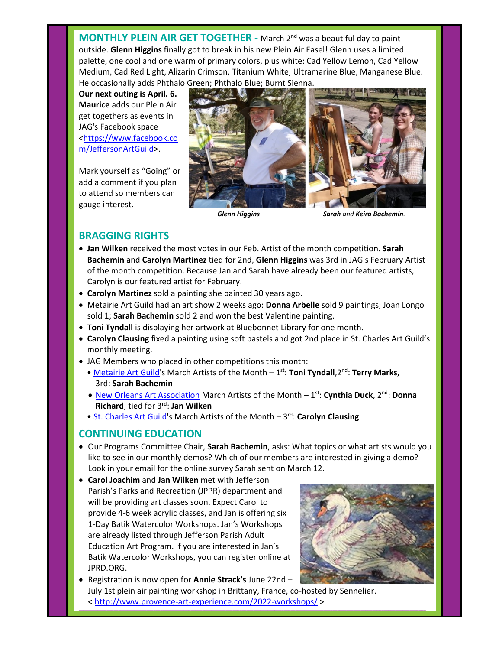**MONTHLY PLEIN AIR GET TOGETHER - March 2<sup>nd</sup> was a beautiful day to paint** outside. **Glenn Higgins** finally got to break in his new Plein Air Easel! Glenn uses a limited palette, one cool and one warm of primary colors, plus white: Cad Yellow Lemon, Cad Yellow Medium, Cad Red Light, Alizarin Crimson, Titanium White, Ultramarine Blue, Manganese Blue. He occasionally adds Phthalo Green; Phthalo Blue; Burnt Sienna.

**Our next outing is April. 6. Maurice** adds our Plein Air get togethers as events in JAG's Facebook space [<https://www.facebook.co](https://www.facebook.com/JeffersonArtGuild) [m/JeffersonArtGuild>](https://www.facebook.com/JeffersonArtGuild).

Mark yourself as "Going" or add a comment if you plan to attend so members can gauge interest.



 *Glenn Higgins Sarah and Keira Bachemin.*

## **BRAGGING RIGHTS**

• **Jan Wilken** received the most votes in our Feb. Artist of the month competition. **Sarah Bachemin** and **Carolyn Martinez** tied for 2nd, **Glenn Higgins** was 3rd in JAG's February Artist of the month competition. Because Jan and Sarah have already been our featured artists, Carolyn is our featured artist for February.

**\_\_\_\_\_\_\_\_\_\_\_\_\_\_\_\_\_\_\_\_\_\_\_\_\_\_\_\_\_\_\_\_\_\_\_\_\_\_\_\_\_\_\_\_\_\_\_\_\_\_\_\_\_\_\_\_\_\_\_\_\_\_\_\_\_\_\_\_\_\_\_\_\_\_\_\_\_\_\_\_\_\_\_\_\_\_\_\_\_\_\_\_\_\_\_\_\_\_\_\_\_\_\_\_\_\_\_\_\_\_\_\_\_\_\_\_\_\_\_\_\_\_\_\_\_\_\_\_\_\_\_\_\_\_\_\_\_\_\_\_\_\_\_\_\_\_\_\_\_**

- **Carolyn Martinez** sold a painting she painted 30 years ago.
- Metairie Art Guild had an art show 2 weeks ago: **Donna Arbelle** sold 9 paintings; Joan Longo sold 1; **Sarah Bachemin** sold 2 and won the best Valentine painting.
- **Toni Tyndall** is displaying her artwork at Bluebonnet Library for one month.
- **Carolyn Clausing** fixed a painting using soft pastels and got 2nd place in St. Charles Art Guild's monthly meeting.
- JAG Members who placed in other competitions this month:
	- [Metairie Art Guild'](http://www.metairieartguild.com/index.html)s March Artists of the Month 1<sup>st</sup>: Toni Tyndall, 2<sup>nd</sup>: Terry Marks, 3rd: **Sarah Bachemin**
	- [New Orleans Art Association](https://www.noartassoc.org/) March Artists of the Month 1<sup>st</sup>: Cynthia Duck, 2<sup>nd</sup>: Donna **Richard**, tied for 3rd: **Jan Wilken**

**\_\_\_\_\_\_\_\_\_\_\_\_\_\_\_\_\_\_\_\_\_\_\_\_\_\_\_\_\_\_\_\_\_\_\_\_\_\_\_\_\_\_\_\_\_\_\_\_\_\_\_\_\_\_\_\_\_\_\_\_\_\_\_\_\_\_\_\_\_\_\_\_\_\_\_\_\_\_\_\_\_\_\_\_\_\_\_\_\_\_\_\_\_\_\_\_\_\_\_\_\_\_\_\_\_\_\_\_\_\_\_\_\_\_\_\_\_\_\_\_\_\_\_\_\_\_\_\_\_\_\_\_\_\_\_\_\_\_\_\_\_\_\_\_\_\_\_\_\_**

**• [St. Charles Art Guild's](http://www.stcharlesartguild.com/) March Artists of the Month - 3rd: Carolyn Clausing** 

#### **CONTINUING EDUCATION**

- Our Programs Committee Chair, **Sarah Bachemin**, asks: What topics or what artists would you like to see in our monthly demos? Which of our members are interested in giving a demo? Look in your email for the online survey Sarah sent on March 12.
- **Carol Joachim** and **Jan Wilken** met with Jefferson Parish's Parks and Recreation (JPPR) department and will be providing art classes soon. Expect Carol to provide 4-6 week acrylic classes, and Jan is offering six 1-Day Batik Watercolor Workshops. Jan's Workshops are already listed through Jefferson Parish Adult Education Art Program. If you are interested in Jan's Batik Watercolor Workshops, you can register online at JPRD.ORG.



• Registration is now open for **Annie Strack's** June 22nd – July 1st plein air painting workshop in Brittany, France, co-hosted by Sennelier.

**\_\_\_\_\_\_\_\_\_\_\_\_\_\_\_\_\_\_\_\_\_\_\_\_\_\_\_\_\_\_\_\_\_\_\_\_\_\_\_\_\_\_\_\_\_\_\_\_\_\_\_\_\_\_\_\_\_\_\_\_\_\_\_\_\_\_\_\_\_\_\_\_\_\_\_\_\_\_\_\_\_\_\_\_\_\_\_\_\_\_\_\_\_\_\_\_\_\_\_\_\_\_\_\_\_\_\_\_\_\_\_\_\_\_\_\_\_\_\_\_\_\_\_\_\_\_\_\_\_\_\_\_\_\_\_\_\_\_\_\_\_\_\_\_\_\_\_\_\_**

<<http://www.provence-art-experience.com/2022-workshops/> >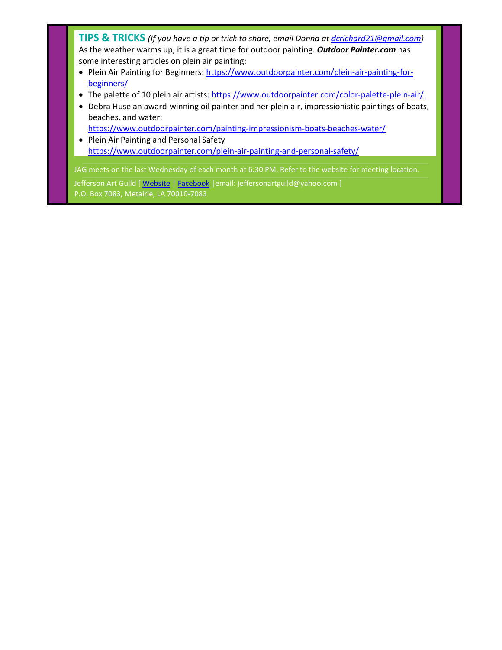**TIPS & TRICKS** *(If you have a tip or trick to share, email Donna at [dcrichard21@gmail.com\)](mailto:dcrichard21@gmail.com)* As the weather warms up, it is a great time for outdoor painting. *Outdoor Painter.com* has some interesting articles on plein air painting:

- Plein Air Painting for Beginners: [https://www.outdoorpainter.com/plein-air-painting-for](https://www.outdoorpainter.com/plein-air-painting-for-beginners/)[beginners/](https://www.outdoorpainter.com/plein-air-painting-for-beginners/)
- The palette of 10 plein air artists: <https://www.outdoorpainter.com/color-palette-plein-air/>
- Debra Huse an award-winning oil painter and her plein air, impressionistic paintings of boats, beaches, and water:

<https://www.outdoorpainter.com/painting-impressionism-boats-beaches-water/>

• Plein Air Painting and Personal Safety <https://www.outdoorpainter.com/plein-air-painting-and-personal-safety/>

JAG meets on the last Wednesday of each month at 6:30 PM. Refer to the website for meeting location.

Jefferson Art Guild [ [Website](http://www.jeffersonartguild.com/home) | [Facebook](https://www.facebook.com/JeffersonArtGuild/?fref=ts) | email: jeffersonartguild@yahoo.com ] P.O. Box 7083, Metairie, LA 70010-7083